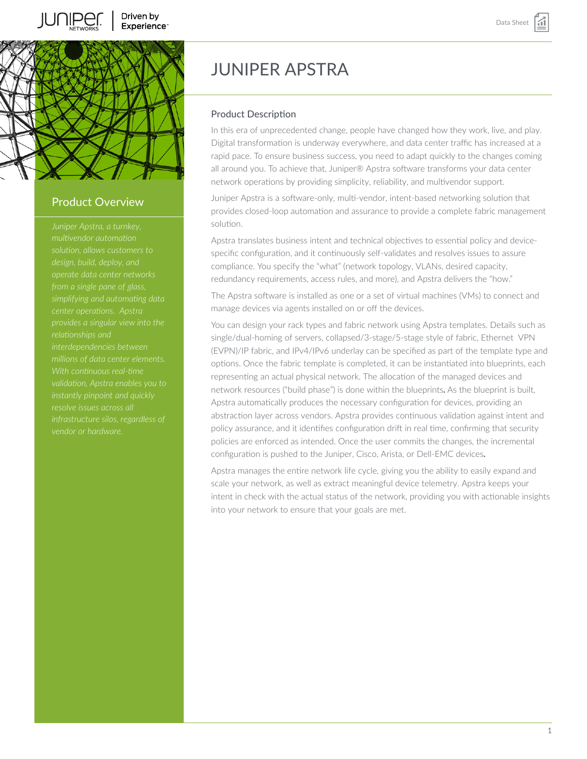



## Product Overview

*multivendor automation solution, allows customers to from a single pane of glass, simplifying and automating data center operations. Apstra interdependencies between With continuous real-time resolve issues across all infrastructure silos, regardless of vendor or hardware.*

# JUNIPER APSTRA

#### Product Description

In this era of unprecedented change, people have changed how they work, live, and play. Digital transformation is underway everywhere, and data center traffic has increased at a rapid pace. To ensure business success, you need to adapt quickly to the changes coming all around you. To achieve that, Juniper® Apstra software transforms your data center network operations by providing simplicity, reliability, and multivendor support.

Juniper Apstra is a software-only, multi-vendor, intent-based networking solution that provides closed-loop automation and assurance to provide a complete fabric management solution.

Apstra translates business intent and technical objectives to essential policy and devicespecific configuration, and it continuously self-validates and resolves issues to assure compliance. You specify the "what" (network topology, VLANs, desired capacity, redundancy requirements, access rules, and more), and Apstra delivers the "how."

The Apstra software is installed as one or a set of virtual machines (VMs) to connect and manage devices via agents installed on or off the devices.

You can design your rack types and fabric network using Apstra templates. Details such as single/dual-homing of servers, collapsed/3-stage/5-stage style of fabric, Ethernet VPN (EVPN)/IP fabric, and IPv4/IPv6 underlay can be specified as part of the template type and options. Once the fabric template is completed, it can be instantiated into blueprints, each representing an actual physical network. The allocation of the managed devices and network resources ("build phase") is done within the blueprints**.** As the blueprint is built, Apstra automatically produces the necessary configuration for devices, providing an abstraction layer across vendors. Apstra provides continuous validation against intent and policy assurance, and it identifies configuration drift in real time, confirming that security policies are enforced as intended. Once the user commits the changes, the incremental configuration is pushed to the Juniper, Cisco, Arista, or Dell-EMC devices**.**

Apstra manages the entire network life cycle, giving you the ability to easily expand and scale your network, as well as extract meaningful device telemetry. Apstra keeps your intent in check with the actual status of the network, providing you with actionable insights into your network to ensure that your goals are met.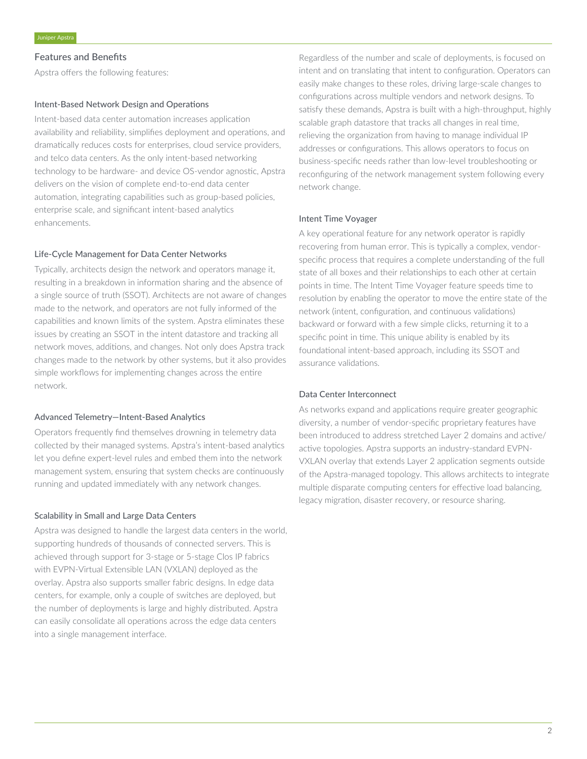#### Features and Benefits

Apstra offers the following features:

#### Intent-Based Network Design and Operations

Intent-based data center automation increases application availability and reliability, simplifies deployment and operations, and dramatically reduces costs for enterprises, cloud service providers, and telco data centers. As the only intent-based networking technology to be hardware- and device OS-vendor agnostic, Apstra delivers on the vision of complete end-to-end data center automation, integrating capabilities such as group-based policies, enterprise scale, and significant intent-based analytics enhancements.

#### Life-Cycle Management for Data Center Networks

Typically, architects design the network and operators manage it, resulting in a breakdown in information sharing and the absence of a single source of truth (SSOT). Architects are not aware of changes made to the network, and operators are not fully informed of the capabilities and known limits of the system. Apstra eliminates these issues by creating an SSOT in the intent datastore and tracking all network moves, additions, and changes. Not only does Apstra track changes made to the network by other systems, but it also provides simple workflows for implementing changes across the entire network.

#### Advanced Telemetry—Intent-Based Analytics

Operators frequently find themselves drowning in telemetry data collected by their managed systems. Apstra's intent-based analytics let you define expert-level rules and embed them into the network management system, ensuring that system checks are continuously running and updated immediately with any network changes.

#### Scalability in Small and Large Data Centers

Apstra was designed to handle the largest data centers in the world, supporting hundreds of thousands of connected servers. This is achieved through support for 3-stage or 5-stage Clos IP fabrics with EVPN-Virtual Extensible LAN (VXLAN) deployed as the overlay. Apstra also supports smaller fabric designs. In edge data centers, for example, only a couple of switches are deployed, but the number of deployments is large and highly distributed. Apstra can easily consolidate all operations across the edge data centers into a single management interface.

Regardless of the number and scale of deployments, is focused on intent and on translating that intent to configuration. Operators can easily make changes to these roles, driving large-scale changes to configurations across multiple vendors and network designs. To satisfy these demands, Apstra is built with a high-throughput, highly scalable graph datastore that tracks all changes in real time, relieving the organization from having to manage individual IP addresses or configurations. This allows operators to focus on business-specific needs rather than low-level troubleshooting or reconfiguring of the network management system following every network change.

#### Intent Time Voyager

A key operational feature for any network operator is rapidly recovering from human error. This is typically a complex, vendorspecific process that requires a complete understanding of the full state of all boxes and their relationships to each other at certain points in time. The Intent Time Voyager feature speeds time to resolution by enabling the operator to move the entire state of the network (intent, configuration, and continuous validations) backward or forward with a few simple clicks, returning it to a specific point in time. This unique ability is enabled by its foundational intent-based approach, including its SSOT and assurance validations.

#### Data Center Interconnect

As networks expand and applications require greater geographic diversity, a number of vendor-specific proprietary features have been introduced to address stretched Layer 2 domains and active/ active topologies. Apstra supports an industry-standard EVPN-VXLAN overlay that extends Layer 2 application segments outside of the Apstra-managed topology. This allows architects to integrate multiple disparate computing centers for effective load balancing, legacy migration, disaster recovery, or resource sharing.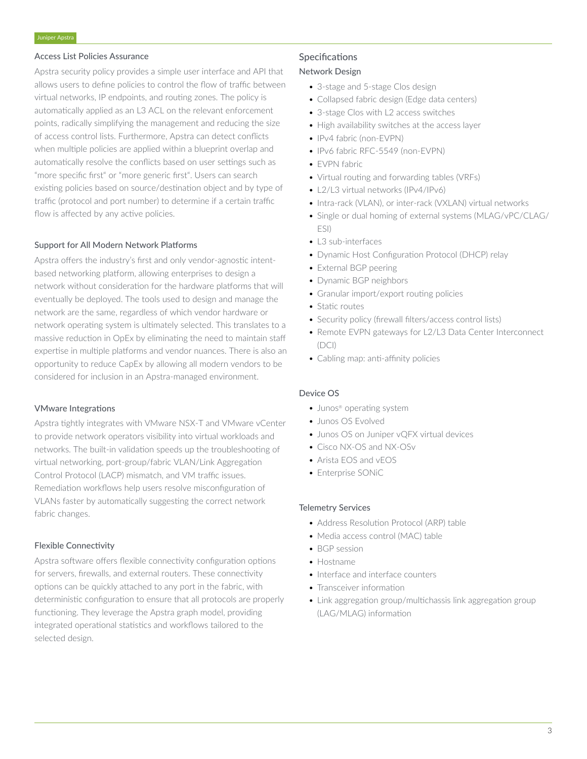#### Access List Policies Assurance

Apstra security policy provides a simple user interface and API that allows users to define policies to control the flow of traffic between virtual networks, IP endpoints, and routing zones. The policy is automatically applied as an L3 ACL on the relevant enforcement points, radically simplifying the management and reducing the size of access control lists. Furthermore, Apstra can detect conflicts when multiple policies are applied within a blueprint overlap and automatically resolve the conflicts based on user settings such as "more specific first" or "more generic first". Users can search existing policies based on source/destination object and by type of traffic (protocol and port number) to determine if a certain traffic flow is affected by any active policies.

#### Support for All Modern Network Platforms

Apstra offers the industry's first and only vendor-agnostic intentbased networking platform, allowing enterprises to design a network without consideration for the hardware platforms that will eventually be deployed. The tools used to design and manage the network are the same, regardless of which vendor hardware or network operating system is ultimately selected. This translates to a massive reduction in OpEx by eliminating the need to maintain staff expertise in multiple platforms and vendor nuances. There is also an opportunity to reduce CapEx by allowing all modern vendors to be considered for inclusion in an Apstra-managed environment.

#### VMware Integrations

Apstra tightly integrates with VMware NSX-T and VMware vCenter to provide network operators visibility into virtual workloads and networks. The built-in validation speeds up the troubleshooting of virtual networking, port-group/fabric VLAN/Link Aggregation Control Protocol (LACP) mismatch, and VM traffic issues. Remediation workflows help users resolve misconfiguration of VLANs faster by automatically suggesting the correct network fabric changes.

#### Flexible Connectivity

Apstra software offers flexible connectivity configuration options for servers, firewalls, and external routers. These connectivity options can be quickly attached to any port in the fabric, with deterministic configuration to ensure that all protocols are properly functioning. They leverage the Apstra graph model, providing integrated operational statistics and workflows tailored to the selected design.

### **Specifications** Network Design

# • 3-stage and 5-stage Clos design

- Collapsed fabric design (Edge data centers)
- 3-stage Clos with L2 access switches
- High availability switches at the access layer
- IPv4 fabric (non-EVPN)
- IPv6 fabric RFC-5549 (non-EVPN)
- EVPN fabric
- Virtual routing and forwarding tables (VRFs)
- L2/L3 virtual networks (IPv4/IPv6)
- Intra-rack (VLAN), or inter-rack (VXLAN) virtual networks
- Single or dual homing of external systems (MLAG/vPC/CLAG/ ESI)
- L3 sub-interfaces
- Dynamic Host Configuration Protocol (DHCP) relay
- External BGP peering
- Dynamic BGP neighbors
- Granular import/export routing policies
- Static routes
- Security policy (firewall filters/access control lists)
- Remote EVPN gateways for L2/L3 Data Center Interconnect (DCI)
- Cabling map: anti-affinity policies

#### Device OS

- Junos® operating system
- Junos OS Evolved
- Junos OS on Juniper vQFX virtual devices
- Cisco NX-OS and NX-OSv
- Arista EOS and vEOS
- Enterprise SONiC

#### Telemetry Services

- Address Resolution Protocol (ARP) table
- Media access control (MAC) table
- BGP session
- Hostname
- Interface and interface counters
- Transceiver information
- Link aggregation group/multichassis link aggregation group (LAG/MLAG) information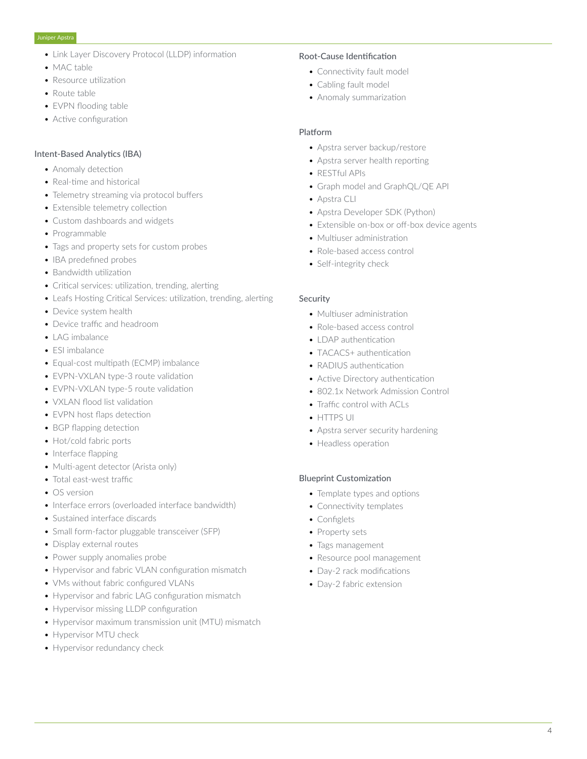- Link Layer Discovery Protocol (LLDP) information
- MAC table
- Resource utilization
- Route table
- EVPN flooding table
- Active configuration

#### Intent-Based Analytics (IBA)

- Anomaly detection
- Real-time and historical
- Telemetry streaming via protocol buffers
- Extensible telemetry collection
- Custom dashboards and widgets
- Programmable
- Tags and property sets for custom probes
- IBA predefined probes
- Bandwidth utilization
- Critical services: utilization, trending, alerting
- Leafs Hosting Critical Services: utilization, trending, alerting
- Device system health
- Device traffic and headroom
- LAG imbalance
- ESI imbalance
- Equal-cost multipath (ECMP) imbalance
- EVPN-VXLAN type-3 route validation
- EVPN-VXLAN type-5 route validation
- VXLAN flood list validation
- EVPN host flaps detection
- BGP flapping detection
- Hot/cold fabric ports
- Interface flapping
- Multi-agent detector (Arista only)
- Total east-west traffic
- OS version
- Interface errors (overloaded interface bandwidth)
- Sustained interface discards
- Small form-factor pluggable transceiver (SFP)
- Display external routes
- Power supply anomalies probe
- Hypervisor and fabric VLAN configuration mismatch
- VMs without fabric configured VLANs
- Hypervisor and fabric LAG configuration mismatch
- Hypervisor missing LLDP configuration
- Hypervisor maximum transmission unit (MTU) mismatch
- Hypervisor MTU check
- Hypervisor redundancy check

#### Root-Cause Identification

- Connectivity fault model
- Cabling fault model
- Anomaly summarization

#### Platform

- Apstra server backup/restore
- Apstra server health reporting
- RESTful APIs
- Graph model and GraphQL/QE API
- Apstra CLI
- Apstra Developer SDK (Python)
- Extensible on-box or off-box device agents
- Multiuser administration
- Role-based access control
- Self-integrity check

#### Security

- Multiuser administration
- Role-based access control
- **LDAP** authentication
- TACACS+ authentication
- RADIUS authentication
- Active Directory authentication
- 802.1x Network Admission Control
- Traffic control with ACLs
- HTTPS UI
- Apstra server security hardening
- Headless operation

#### Blueprint Customization

- Template types and options
- Connectivity templates
- Configlets
- Property sets
- Tags management
- Resource pool management
- Day-2 rack modifications
- Day-2 fabric extension